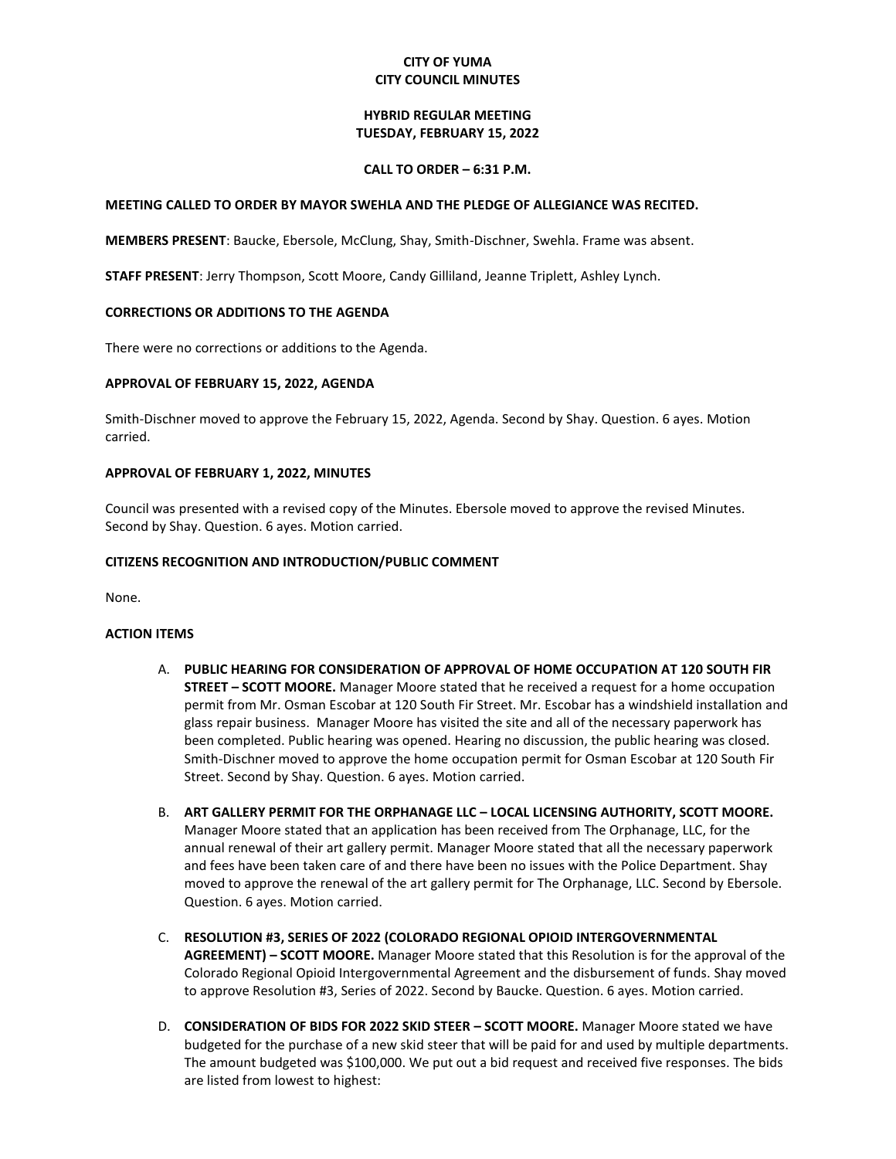# **CITY OF YUMA CITY COUNCIL MINUTES**

# **HYBRID REGULAR MEETING TUESDAY, FEBRUARY 15, 2022**

### **CALL TO ORDER – 6:31 P.M.**

### **MEETING CALLED TO ORDER BY MAYOR SWEHLA AND THE PLEDGE OF ALLEGIANCE WAS RECITED.**

**MEMBERS PRESENT**: Baucke, Ebersole, McClung, Shay, Smith-Dischner, Swehla. Frame was absent.

**STAFF PRESENT**: Jerry Thompson, Scott Moore, Candy Gilliland, Jeanne Triplett, Ashley Lynch.

# **CORRECTIONS OR ADDITIONS TO THE AGENDA**

There were no corrections or additions to the Agenda.

# **APPROVAL OF FEBRUARY 15, 2022, AGENDA**

Smith-Dischner moved to approve the February 15, 2022, Agenda. Second by Shay. Question. 6 ayes. Motion carried.

# **APPROVAL OF FEBRUARY 1, 2022, MINUTES**

Council was presented with a revised copy of the Minutes. Ebersole moved to approve the revised Minutes. Second by Shay. Question. 6 ayes. Motion carried.

# **CITIZENS RECOGNITION AND INTRODUCTION/PUBLIC COMMENT**

None.

### **ACTION ITEMS**

- A. **PUBLIC HEARING FOR CONSIDERATION OF APPROVAL OF HOME OCCUPATION AT 120 SOUTH FIR STREET – SCOTT MOORE.** Manager Moore stated that he received a request for a home occupation permit from Mr. Osman Escobar at 120 South Fir Street. Mr. Escobar has a windshield installation and glass repair business. Manager Moore has visited the site and all of the necessary paperwork has been completed. Public hearing was opened. Hearing no discussion, the public hearing was closed. Smith-Dischner moved to approve the home occupation permit for Osman Escobar at 120 South Fir Street. Second by Shay. Question. 6 ayes. Motion carried.
- B. **ART GALLERY PERMIT FOR THE ORPHANAGE LLC – LOCAL LICENSING AUTHORITY, SCOTT MOORE.** Manager Moore stated that an application has been received from The Orphanage, LLC, for the annual renewal of their art gallery permit. Manager Moore stated that all the necessary paperwork and fees have been taken care of and there have been no issues with the Police Department. Shay moved to approve the renewal of the art gallery permit for The Orphanage, LLC. Second by Ebersole. Question. 6 ayes. Motion carried.
- C. **RESOLUTION #3, SERIES OF 2022 (COLORADO REGIONAL OPIOID INTERGOVERNMENTAL AGREEMENT) – SCOTT MOORE.** Manager Moore stated that this Resolution is for the approval of the Colorado Regional Opioid Intergovernmental Agreement and the disbursement of funds. Shay moved to approve Resolution #3, Series of 2022. Second by Baucke. Question. 6 ayes. Motion carried.
- D. **CONSIDERATION OF BIDS FOR 2022 SKID STEER – SCOTT MOORE.** Manager Moore stated we have budgeted for the purchase of a new skid steer that will be paid for and used by multiple departments. The amount budgeted was \$100,000. We put out a bid request and received five responses. The bids are listed from lowest to highest: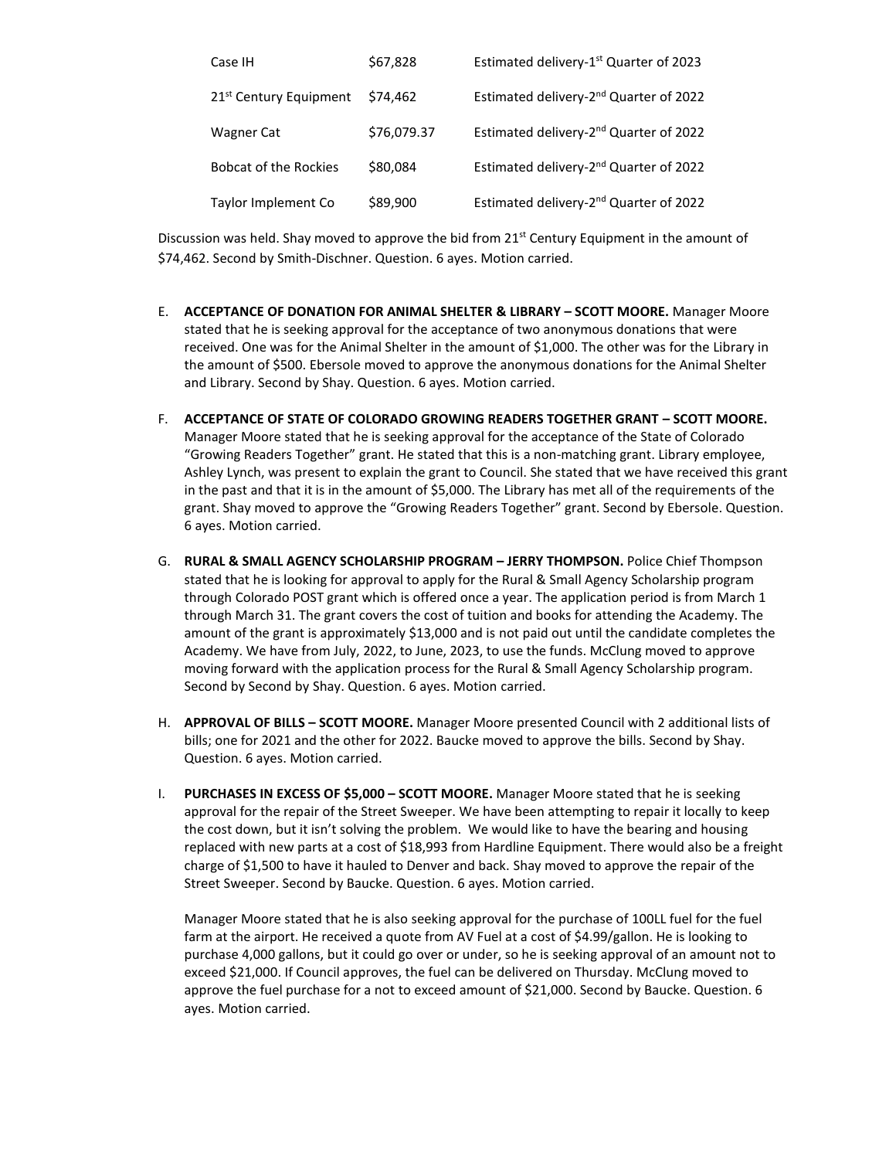| Case IH                            | \$67,828    | Estimated delivery-1 <sup>st</sup> Quarter of 2023 |
|------------------------------------|-------------|----------------------------------------------------|
| 21 <sup>st</sup> Century Equipment | \$74.462    | Estimated delivery-2 <sup>nd</sup> Quarter of 2022 |
| <b>Wagner Cat</b>                  | \$76,079.37 | Estimated delivery-2 <sup>nd</sup> Quarter of 2022 |
| <b>Bobcat of the Rockies</b>       | \$80,084    | Estimated delivery-2 <sup>nd</sup> Quarter of 2022 |
| Taylor Implement Co                | \$89,900    | Estimated delivery-2 <sup>nd</sup> Quarter of 2022 |

Discussion was held. Shay moved to approve the bid from  $21<sup>st</sup>$  Century Equipment in the amount of \$74,462. Second by Smith-Dischner. Question. 6 ayes. Motion carried.

- E. **ACCEPTANCE OF DONATION FOR ANIMAL SHELTER & LIBRARY – SCOTT MOORE.** Manager Moore stated that he is seeking approval for the acceptance of two anonymous donations that were received. One was for the Animal Shelter in the amount of \$1,000. The other was for the Library in the amount of \$500. Ebersole moved to approve the anonymous donations for the Animal Shelter and Library. Second by Shay. Question. 6 ayes. Motion carried.
- F. **ACCEPTANCE OF STATE OF COLORADO GROWING READERS TOGETHER GRANT – SCOTT MOORE.** Manager Moore stated that he is seeking approval for the acceptance of the State of Colorado "Growing Readers Together" grant. He stated that this is a non-matching grant. Library employee, Ashley Lynch, was present to explain the grant to Council. She stated that we have received this grant in the past and that it is in the amount of \$5,000. The Library has met all of the requirements of the grant. Shay moved to approve the "Growing Readers Together" grant. Second by Ebersole. Question. 6 ayes. Motion carried.
- G. **RURAL & SMALL AGENCY SCHOLARSHIP PROGRAM – JERRY THOMPSON.** Police Chief Thompson stated that he is looking for approval to apply for the Rural & Small Agency Scholarship program through Colorado POST grant which is offered once a year. The application period is from March 1 through March 31. The grant covers the cost of tuition and books for attending the Academy. The amount of the grant is approximately \$13,000 and is not paid out until the candidate completes the Academy. We have from July, 2022, to June, 2023, to use the funds. McClung moved to approve moving forward with the application process for the Rural & Small Agency Scholarship program. Second by Second by Shay. Question. 6 ayes. Motion carried.
- H. **APPROVAL OF BILLS – SCOTT MOORE.** Manager Moore presented Council with 2 additional lists of bills; one for 2021 and the other for 2022. Baucke moved to approve the bills. Second by Shay. Question. 6 ayes. Motion carried.
- I. **PURCHASES IN EXCESS OF \$5,000 – SCOTT MOORE.** Manager Moore stated that he is seeking approval for the repair of the Street Sweeper. We have been attempting to repair it locally to keep the cost down, but it isn't solving the problem. We would like to have the bearing and housing replaced with new parts at a cost of \$18,993 from Hardline Equipment. There would also be a freight charge of \$1,500 to have it hauled to Denver and back. Shay moved to approve the repair of the Street Sweeper. Second by Baucke. Question. 6 ayes. Motion carried.

Manager Moore stated that he is also seeking approval for the purchase of 100LL fuel for the fuel farm at the airport. He received a quote from AV Fuel at a cost of \$4.99/gallon. He is looking to purchase 4,000 gallons, but it could go over or under, so he is seeking approval of an amount not to exceed \$21,000. If Council approves, the fuel can be delivered on Thursday. McClung moved to approve the fuel purchase for a not to exceed amount of \$21,000. Second by Baucke. Question. 6 ayes. Motion carried.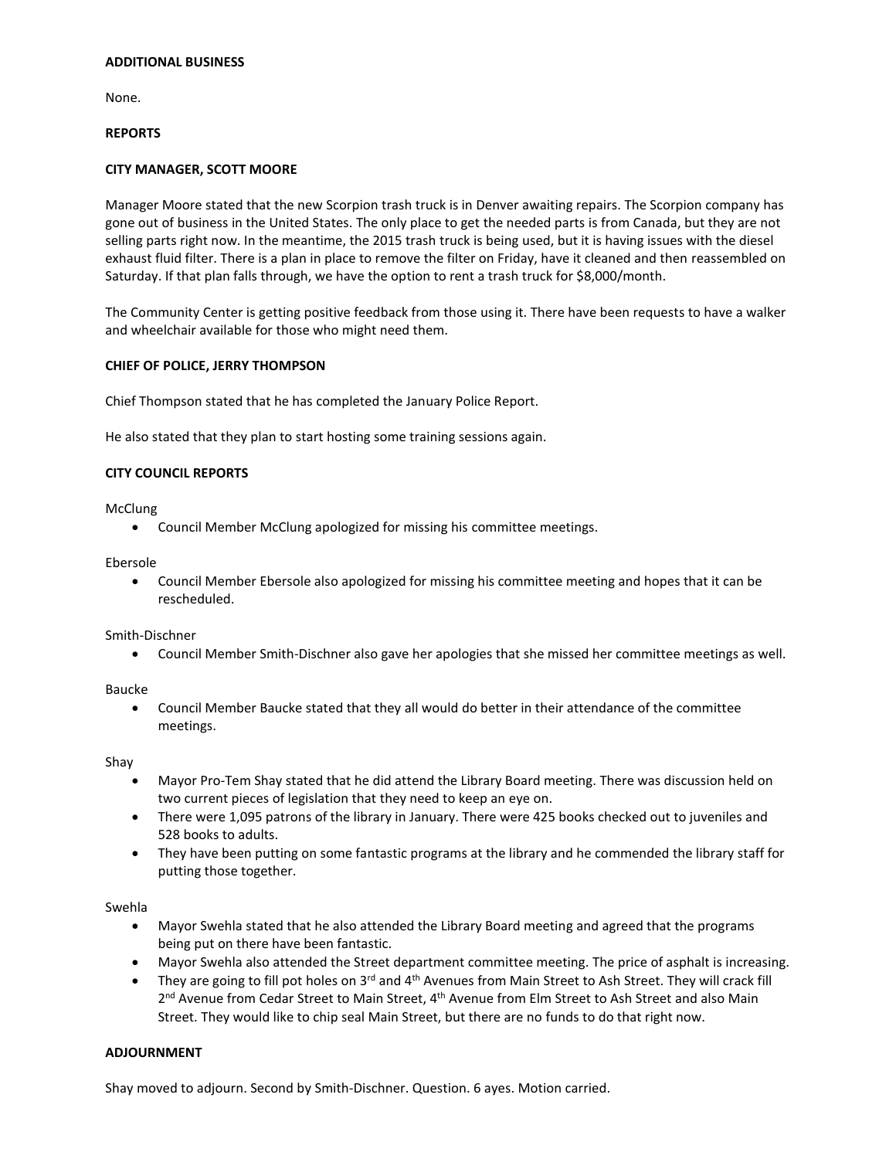### **ADDITIONAL BUSINESS**

None.

### **REPORTS**

# **CITY MANAGER, SCOTT MOORE**

Manager Moore stated that the new Scorpion trash truck is in Denver awaiting repairs. The Scorpion company has gone out of business in the United States. The only place to get the needed parts is from Canada, but they are not selling parts right now. In the meantime, the 2015 trash truck is being used, but it is having issues with the diesel exhaust fluid filter. There is a plan in place to remove the filter on Friday, have it cleaned and then reassembled on Saturday. If that plan falls through, we have the option to rent a trash truck for \$8,000/month.

The Community Center is getting positive feedback from those using it. There have been requests to have a walker and wheelchair available for those who might need them.

### **CHIEF OF POLICE, JERRY THOMPSON**

Chief Thompson stated that he has completed the January Police Report.

He also stated that they plan to start hosting some training sessions again.

# **CITY COUNCIL REPORTS**

McClung

• Council Member McClung apologized for missing his committee meetings.

Ebersole

• Council Member Ebersole also apologized for missing his committee meeting and hopes that it can be rescheduled.

Smith-Dischner

• Council Member Smith-Dischner also gave her apologies that she missed her committee meetings as well.

Baucke

• Council Member Baucke stated that they all would do better in their attendance of the committee meetings.

Shay

- Mayor Pro-Tem Shay stated that he did attend the Library Board meeting. There was discussion held on two current pieces of legislation that they need to keep an eye on.
- There were 1,095 patrons of the library in January. There were 425 books checked out to juveniles and 528 books to adults.
- They have been putting on some fantastic programs at the library and he commended the library staff for putting those together.

Swehla

- Mayor Swehla stated that he also attended the Library Board meeting and agreed that the programs being put on there have been fantastic.
- Mayor Swehla also attended the Street department committee meeting. The price of asphalt is increasing.
- They are going to fill pot holes on 3<sup>rd</sup> and 4<sup>th</sup> Avenues from Main Street to Ash Street. They will crack fill 2<sup>nd</sup> Avenue from Cedar Street to Main Street, 4<sup>th</sup> Avenue from Elm Street to Ash Street and also Main Street. They would like to chip seal Main Street, but there are no funds to do that right now.

### **ADJOURNMENT**

Shay moved to adjourn. Second by Smith-Dischner. Question. 6 ayes. Motion carried.